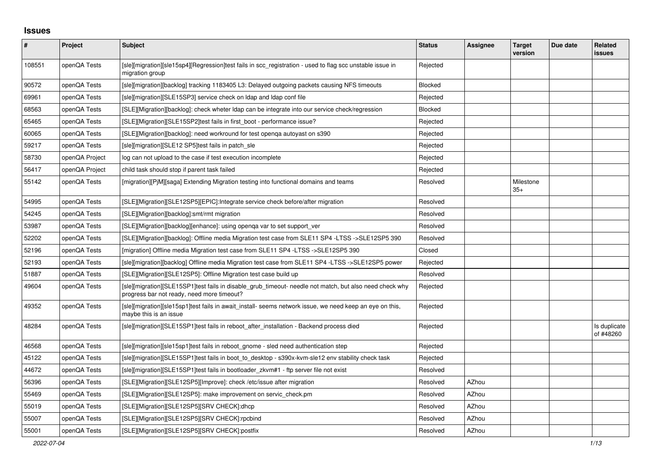## **Issues**

| $\sharp$ | Project        | Subject                                                                                                                                               | <b>Status</b>  | <b>Assignee</b> | <b>Target</b><br>version | Due date | Related<br><b>issues</b>  |
|----------|----------------|-------------------------------------------------------------------------------------------------------------------------------------------------------|----------------|-----------------|--------------------------|----------|---------------------------|
| 108551   | openQA Tests   | [sle][migration][sle15sp4][Regression]test fails in scc_registration - used to flag scc unstable issue in<br>migration group                          | Rejected       |                 |                          |          |                           |
| 90572    | openQA Tests   | [sle][migration][backlog] tracking 1183405 L3: Delayed outgoing packets causing NFS timeouts                                                          | <b>Blocked</b> |                 |                          |          |                           |
| 69961    | openQA Tests   | [sle][migration][SLE15SP3] service check on Idap and Idap conf file                                                                                   | Rejected       |                 |                          |          |                           |
| 68563    | openQA Tests   | [SLE][Migration][backlog]: check wheter Idap can be integrate into our service check/regression                                                       | Blocked        |                 |                          |          |                           |
| 65465    | openQA Tests   | [SLE][Migration][SLE15SP2]test fails in first boot - performance issue?                                                                               | Rejected       |                 |                          |          |                           |
| 60065    | openQA Tests   | [SLE][Migration][backlog]: need workround for test openga autoyast on s390                                                                            | Rejected       |                 |                          |          |                           |
| 59217    | openQA Tests   | [sle][migration][SLE12 SP5]test fails in patch_sle                                                                                                    | Rejected       |                 |                          |          |                           |
| 58730    | openQA Project | log can not upload to the case if test execution incomplete                                                                                           | Rejected       |                 |                          |          |                           |
| 56417    | openQA Project | child task should stop if parent task failed                                                                                                          | Rejected       |                 |                          |          |                           |
| 55142    | openQA Tests   | [migration][PjM][saga] Extending Migration testing into functional domains and teams                                                                  | Resolved       |                 | Milestone<br>$35+$       |          |                           |
| 54995    | openQA Tests   | [SLE][Migration][SLE12SP5][EPIC]:Integrate service check before/after migration                                                                       | Resolved       |                 |                          |          |                           |
| 54245    | openQA Tests   | [SLE][Migration][backlog]:smt/rmt migration                                                                                                           | Resolved       |                 |                          |          |                           |
| 53987    | openQA Tests   | [SLE][Migration][backlog][enhance]: using openga var to set support ver                                                                               | Resolved       |                 |                          |          |                           |
| 52202    | openQA Tests   | [SLE][Migration][backlog]: Offline media Migration test case from SLE11 SP4 -LTSS ->SLE12SP5 390                                                      | Resolved       |                 |                          |          |                           |
| 52196    | openQA Tests   | [migration] Offline media Migration test case from SLE11 SP4 -LTSS ->SLE12SP5 390                                                                     | Closed         |                 |                          |          |                           |
| 52193    | openQA Tests   | [sle][migration][backlog] Offline media Migration test case from SLE11 SP4 -LTSS ->SLE12SP5 power                                                     | Rejected       |                 |                          |          |                           |
| 51887    | openQA Tests   | [SLE][Migration][SLE12SP5]: Offline Migration test case build up                                                                                      | Resolved       |                 |                          |          |                           |
| 49604    | openQA Tests   | [sle][migration][SLE15SP1]test fails in disable_grub_timeout- needle not match, but also need check why<br>progress bar not ready, need more timeout? | Rejected       |                 |                          |          |                           |
| 49352    | openQA Tests   | [sle][migration][sle15sp1]test fails in await install- seems network issue, we need keep an eye on this,<br>maybe this is an issue                    | Rejected       |                 |                          |          |                           |
| 48284    | openQA Tests   | [sle][migration][SLE15SP1]test fails in reboot_after_installation - Backend process died                                                              | Rejected       |                 |                          |          | Is duplicate<br>of #48260 |
| 46568    | openQA Tests   | [sle][migration][sle15sp1]test fails in reboot gnome - sled need authentication step                                                                  | Rejected       |                 |                          |          |                           |
| 45122    | openQA Tests   | [sle][migration][SLE15SP1]test fails in boot to desktop - s390x-kvm-sle12 env stability check task                                                    | Rejected       |                 |                          |          |                           |
| 44672    | openQA Tests   | [sle][migration][SLE15SP1]test fails in bootloader zkvm#1 - ftp server file not exist                                                                 | Resolved       |                 |                          |          |                           |
| 56396    | openQA Tests   | [SLE][Migration][SLE12SP5][Improve]: check /etc/issue after migration                                                                                 | Resolved       | AZhou           |                          |          |                           |
| 55469    | openQA Tests   | [SLE][Migration][SLE12SP5]: make improvement on servic_check.pm                                                                                       | Resolved       | AZhou           |                          |          |                           |
| 55019    | openQA Tests   | [SLE][Migration][SLE12SP5][SRV CHECK]:dhcp                                                                                                            | Resolved       | AZhou           |                          |          |                           |
| 55007    | openQA Tests   | [SLE][Migration][SLE12SP5][SRV CHECK]:rpcbind                                                                                                         | Resolved       | AZhou           |                          |          |                           |
| 55001    | openQA Tests   | [SLE][Migration][SLE12SP5][SRV CHECK]:postfix                                                                                                         | Resolved       | AZhou           |                          |          |                           |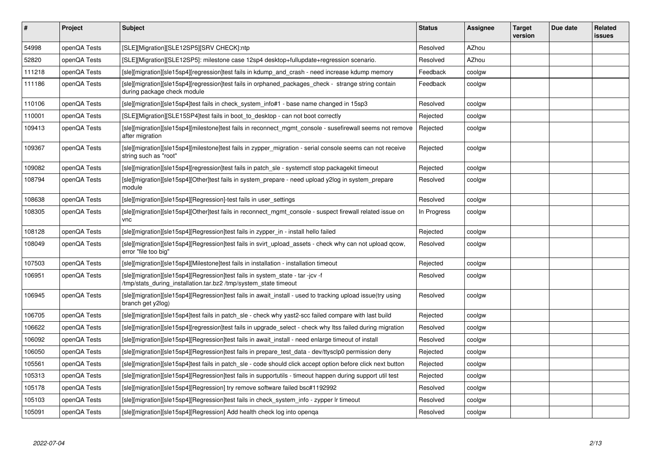| #      | Project      | Subject                                                                                                                                            | <b>Status</b> | <b>Assignee</b> | <b>Target</b><br>version | Due date | <b>Related</b><br><b>issues</b> |
|--------|--------------|----------------------------------------------------------------------------------------------------------------------------------------------------|---------------|-----------------|--------------------------|----------|---------------------------------|
| 54998  | openQA Tests | [SLE][Migration][SLE12SP5][SRV CHECK]:ntp                                                                                                          | Resolved      | AZhou           |                          |          |                                 |
| 52820  | openQA Tests | [SLE][Migration][SLE12SP5]: milestone case 12sp4 desktop+fullupdate+regression scenario.                                                           | Resolved      | AZhou           |                          |          |                                 |
| 111218 | openQA Tests | [sle][migration][sle15sp4][regression]test fails in kdump and crash - need increase kdump memory                                                   | Feedback      | coolgw          |                          |          |                                 |
| 111186 | openQA Tests | [sle][migration][sle15sp4][regression]test fails in orphaned_packages_check - strange string contain<br>during package check module                | Feedback      | coolgw          |                          |          |                                 |
| 110106 | openQA Tests | [sle][migration][sle15sp4]test fails in check system info#1 - base name changed in 15sp3                                                           | Resolved      | coolgw          |                          |          |                                 |
| 110001 | openQA Tests | [SLE][Migration][SLE15SP4]test fails in boot_to_desktop - can not boot correctly                                                                   | Rejected      | coolgw          |                          |          |                                 |
| 109413 | openQA Tests | [sle][migration][sle15sp4][milestone]test fails in reconnect_mgmt_console - susefirewall seems not remove<br>after migration                       | Rejected      | coolgw          |                          |          |                                 |
| 109367 | openQA Tests | [sle][migration][sle15sp4][milestone]test fails in zypper_migration - serial console seems can not receive<br>string such as "root"                | Rejected      | coolgw          |                          |          |                                 |
| 109082 | openQA Tests | [sle][migration][sle15sp4][regression]test fails in patch sle - systemctl stop packagekit timeout                                                  | Rejected      | coolgw          |                          |          |                                 |
| 108794 | openQA Tests | [sle][migration][sle15sp4][Other]test fails in system_prepare - need upload y2log in system_prepare<br>module                                      | Resolved      | coolgw          |                          |          |                                 |
| 108638 | openQA Tests | [sle][migration][sle15sp4][Regression]-test fails in user settings                                                                                 | Resolved      | coolgw          |                          |          |                                 |
| 108305 | openQA Tests | [sle][migration][sle15sp4][Other]test fails in reconnect mgmt console - suspect firewall related issue on<br>vnc                                   | In Progress   | coolgw          |                          |          |                                 |
| 108128 | openQA Tests | [sle][migration][sle15sp4][Regression]test fails in zypper in - install hello failed                                                               | Rejected      | coolgw          |                          |          |                                 |
| 108049 | openQA Tests | [sle][migration][sle15sp4][Regression]test fails in svirt_upload_assets - check why can not upload qcow,<br>error "file too big"                   | Resolved      | coolgw          |                          |          |                                 |
| 107503 | openQA Tests | [sle][migration][sle15sp4][Milestone]test fails in installation - installation timeout                                                             | Rejected      | coolgw          |                          |          |                                 |
| 106951 | openQA Tests | [sle][migration][sle15sp4][Regression]test fails in system_state - tar -jcv -f<br>/tmp/stats during installation.tar.bz2 /tmp/system state timeout | Resolved      | coolgw          |                          |          |                                 |
| 106945 | openQA Tests | [sle][migration][sle15sp4][Regression]test fails in await_install - used to tracking upload issue(try using<br>branch get y2log)                   | Resolved      | coolgw          |                          |          |                                 |
| 106705 | openQA Tests | [sle][migration][sle15sp4]test fails in patch sle - check why yast2-scc failed compare with last build                                             | Rejected      | coolgw          |                          |          |                                 |
| 106622 | openQA Tests | [sle][migration][sle15sp4][regression]test fails in upgrade_select - check why Itss failed during migration                                        | Resolved      | coolgw          |                          |          |                                 |
| 106092 | openQA Tests | [sle][migration][sle15sp4][Regression]test fails in await_install - need enlarge timeout of install                                                | Resolved      | coolgw          |                          |          |                                 |
| 106050 | openQA Tests | [sle][migration][sle15sp4][Regression]test fails in prepare test data - dev/ttysclp0 permission deny                                               | Rejected      | coolgw          |                          |          |                                 |
| 105561 | openQA Tests | [sle][migration][sle15sp4]test fails in patch_sle - code should click accept option before click next button                                       | Rejected      | coolgw          |                          |          |                                 |
| 105313 | openQA Tests | [sle][migration][sle15sp4][Regression]test fails in supportutils - timeout happen during support util test                                         | Rejected      | coolgw          |                          |          |                                 |
| 105178 | openQA Tests | [sle][migration][sle15sp4][Regression] try remove software failed bsc#1192992                                                                      | Resolved      | coolgw          |                          |          |                                 |
| 105103 | openQA Tests | [sle][migration][sle15sp4][Regression]test fails in check_system_info - zypper lr timeout                                                          | Resolved      | coolgw          |                          |          |                                 |
| 105091 | openQA Tests | [sle][migration][sle15sp4][Regression] Add health check log into openga                                                                            | Resolved      | coolgw          |                          |          |                                 |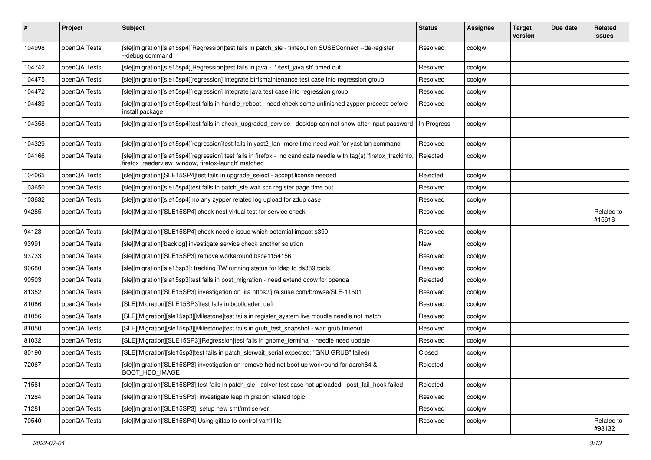| #      | Project      | <b>Subject</b>                                                                                                                                                           | <b>Status</b> | <b>Assignee</b> | <b>Target</b><br>version | Due date | Related<br>issues    |
|--------|--------------|--------------------------------------------------------------------------------------------------------------------------------------------------------------------------|---------------|-----------------|--------------------------|----------|----------------------|
| 104998 | openQA Tests | [sle][migration][sle15sp4][Regression]test fails in patch_sle - timeout on SUSEConnect --de-register<br>-debug command                                                   | Resolved      | coolgw          |                          |          |                      |
| 104742 | openQA Tests | [sle][migration][sle15sp4][Regression]test fails in java - './test_java.sh' timed out                                                                                    | Resolved      | coolgw          |                          |          |                      |
| 104475 | openQA Tests | [sle][migration][sle15sp4][regression] integrate btrfsmaintenance test case into regression group                                                                        | Resolved      | coolgw          |                          |          |                      |
| 104472 | openQA Tests | [sle][migration][sle15sp4][regression] integrate java test case into regression group                                                                                    | Resolved      | coolgw          |                          |          |                      |
| 104439 | openQA Tests | [sle][migration][sle15sp4]test fails in handle_reboot - need check some unfinished zypper process before<br>install package                                              | Resolved      | coolgw          |                          |          |                      |
| 104358 | openQA Tests | [sle][migration][sle15sp4]test fails in check_upgraded_service - desktop can not show after input password                                                               | In Progress   | coolgw          |                          |          |                      |
| 104329 | openQA Tests | [sle][migration][sle15sp4][regression]test fails in yast2_lan- more time need wait for yast lan command                                                                  | Resolved      | coolgw          |                          |          |                      |
| 104166 | openQA Tests | [sle][migration][sle15sp4][regression] test fails in firefox - no candidate needle with tag(s) 'firefox_trackinfo,<br>firefox_readerview_window, firefox-launch' matched | Rejected      | coolgw          |                          |          |                      |
| 104065 | openQA Tests | [sle][migration][SLE15SP4]test fails in upgrade_select - accept license needed                                                                                           | Rejected      | coolgw          |                          |          |                      |
| 103650 | openQA Tests | [sle][migration][sle15sp4]test fails in patch_sle wait scc register page time out                                                                                        | Resolved      | coolgw          |                          |          |                      |
| 103632 | openQA Tests | [sle][migration][sle15sp4] no any zypper related log upload for zdup case                                                                                                | Resolved      | coolgw          |                          |          |                      |
| 94285  | openQA Tests | [sle][Migration][SLE15SP4] check nest virtual test for service check                                                                                                     | Resolved      | coolgw          |                          |          | Related to<br>#16618 |
| 94123  | openQA Tests | [sle][Migration][SLE15SP4] check needle issue which potential impact s390                                                                                                | Resolved      | coolgw          |                          |          |                      |
| 93991  | openQA Tests | [sle][Migration][backlog] investigate service check another solution                                                                                                     | New           | coolgw          |                          |          |                      |
| 93733  | openQA Tests | [sle][Migration][SLE15SP3] remove workaround bsc#1154156                                                                                                                 | Resolved      | coolgw          |                          |          |                      |
| 90680  | openQA Tests | [sle][migration][sle15sp3]: tracking TW running status for Idap to ds389 tools                                                                                           | Resolved      | coolgw          |                          |          |                      |
| 90503  | openQA Tests | [sle][migration][sle15sp3]test fails in post_migration - need extend qcow for openqa                                                                                     | Rejected      | coolgw          |                          |          |                      |
| 81352  | openQA Tests | [sle][migration][SLE15SP3] investigation on jira https://jira.suse.com/browse/SLE-11501                                                                                  | Resolved      | coolgw          |                          |          |                      |
| 81086  | openQA Tests | [SLE][Migration][SLE15SP3]test fails in bootloader_uefi                                                                                                                  | Resolved      | coolgw          |                          |          |                      |
| 81056  | openQA Tests | [SLE][Migration][sle15sp3][Milestone]test fails in register_system live moudle needle not match                                                                          | Resolved      | coolgw          |                          |          |                      |
| 81050  | openQA Tests | [SLE][Migration][sle15sp3][Milestone]test fails in grub_test_snapshot - wait grub timeout                                                                                | Resolved      | coolgw          |                          |          |                      |
| 81032  | openQA Tests | [SLE][Migration][SLE15SP3][Regression]test fails in gnome_terminal - needle need update                                                                                  | Resolved      | coolgw          |                          |          |                      |
| 80190  | openQA Tests | [SLE][Migration][sle15sp3]test fails in patch sle(wait serial expected: "GNU GRUB" failed)                                                                               | Closed        | coolgw          |                          |          |                      |
| 72067  | openQA Tests | [sle][migration][SLE15SP3] investigation on remove hdd not boot up workround for aarch64 &<br>BOOT_HDD_IMAGE                                                             | Rejected      | coolgw          |                          |          |                      |
| 71581  | openQA Tests | [sle][migration][SLE15SP3] test fails in patch_sle - solver test case not uploaded - post_fail_hook failed                                                               | Rejected      | coolgw          |                          |          |                      |
| 71284  | openQA Tests | [sle][migration][SLE15SP3]: investigate leap migration related topic                                                                                                     | Resolved      | coolgw          |                          |          |                      |
| 71281  | openQA Tests | [sle][migration][SLE15SP3]: setup new smt/rmt server                                                                                                                     | Resolved      | coolgw          |                          |          |                      |
| 70540  | openQA Tests | [sle][Migration][SLE15SP4] Using gitlab to control yaml file                                                                                                             | Resolved      | coolgw          |                          |          | Related to<br>#98132 |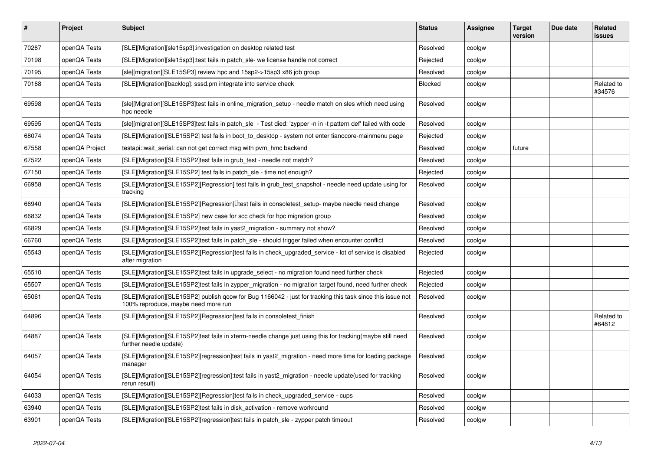| $\vert$ # | Project        | <b>Subject</b>                                                                                                                                    | <b>Status</b>  | <b>Assignee</b> | <b>Target</b><br>version | Due date | <b>Related</b><br><b>issues</b> |
|-----------|----------------|---------------------------------------------------------------------------------------------------------------------------------------------------|----------------|-----------------|--------------------------|----------|---------------------------------|
| 70267     | openQA Tests   | [SLE][Migration][sle15sp3]:investigation on desktop related test                                                                                  | Resolved       | coolgw          |                          |          |                                 |
| 70198     | openQA Tests   | [SLE][Migration][sle15sp3]:test fails in patch sle- we license handle not correct                                                                 | Rejected       | coolgw          |                          |          |                                 |
| 70195     | openQA Tests   | [sle][migration][SLE15SP3] review hpc and 15sp2->15sp3 x86 job group                                                                              | Resolved       | coolgw          |                          |          |                                 |
| 70168     | openQA Tests   | [SLE][Migration][backlog]: sssd.pm integrate into service check                                                                                   | <b>Blocked</b> | coolgw          |                          |          | Related to<br>#34576            |
| 69598     | openQA Tests   | [sle][Migration][SLE15SP3]test fails in online_migration_setup - needle match on sles which need using<br>hpc needle                              | Resolved       | coolgw          |                          |          |                                 |
| 69595     | openQA Tests   | [sle][migration][SLE15SP3]test fails in patch sle - Test died: 'zypper -n in -t pattern def' failed with code                                     | Resolved       | coolgw          |                          |          |                                 |
| 68074     | openQA Tests   | [SLE][Migration][SLE15SP2] test fails in boot to desktop - system not enter tianocore-mainmenu page                                               | Rejected       | coolgw          |                          |          |                                 |
| 67558     | openQA Project | testapi::wait_serial: can not get correct msg with pvm_hmc backend                                                                                | Resolved       | coolgw          | future                   |          |                                 |
| 67522     | openQA Tests   | [SLE][Migration][SLE15SP2]test fails in grub_test - needle not match?                                                                             | Resolved       | coolgw          |                          |          |                                 |
| 67150     | openQA Tests   | [SLE][Migration][SLE15SP2] test fails in patch_sle - time not enough?                                                                             | Rejected       | coolgw          |                          |          |                                 |
| 66958     | openQA Tests   | [SLE][Migration][SLE15SP2][Regression] test fails in grub_test_snapshot - needle need update using for<br>tracking                                | Resolved       | coolgw          |                          |          |                                 |
| 66940     | openQA Tests   | [SLE][Migration][SLE15SP2][Regression]Ltest fails in consoletest_setup- maybe needle need change                                                  | Resolved       | coolgw          |                          |          |                                 |
| 66832     | openQA Tests   | [SLE][Migration][SLE15SP2] new case for scc check for hpc migration group                                                                         | Resolved       | coolgw          |                          |          |                                 |
| 66829     | openQA Tests   | [SLE][Migration][SLE15SP2]test fails in yast2 migration - summary not show?                                                                       | Resolved       | coolgw          |                          |          |                                 |
| 66760     | openQA Tests   | [SLE][Migration][SLE15SP2]test fails in patch sle - should trigger failed when encounter conflict                                                 | Resolved       | coolgw          |                          |          |                                 |
| 65543     | openQA Tests   | [SLE][Migration][SLE15SP2][Regression]test fails in check_upgraded_service - lot of service is disabled<br>after migration                        | Rejected       | coolgw          |                          |          |                                 |
| 65510     | openQA Tests   | [SLE][Migration][SLE15SP2]test fails in upgrade select - no migration found need further check                                                    | Rejected       | coolgw          |                          |          |                                 |
| 65507     | openQA Tests   | [SLE][Migration][SLE15SP2]test fails in zypper migration - no migration target found, need further check                                          | Rejected       | coolgw          |                          |          |                                 |
| 65061     | openQA Tests   | [SLE][Migration][SLE15SP2] publish qcow for Bug 1166042 - just for tracking this task since this issue not<br>100% reproduce, maybe need more run | Resolved       | coolgw          |                          |          |                                 |
| 64896     | openQA Tests   | [SLE][Migration][SLE15SP2][Regression]test fails in consoletest_finish                                                                            | Resolved       | coolgw          |                          |          | Related to<br>#64812            |
| 64887     | openQA Tests   | [SLE][Migration][SLE15SP2]test fails in xterm-needle change just using this for tracking(maybe still need<br>further needle update)               | Resolved       | coolgw          |                          |          |                                 |
| 64057     | openQA Tests   | [SLE][Migration][SLE15SP2][regression]test fails in yast2 migration - need more time for loading package<br>manager                               | Resolved       | coolgw          |                          |          |                                 |
| 64054     | openQA Tests   | [SLE][Migration][SLE15SP2][regression]:test fails in yast2_migration - needle update(used for tracking<br>rerun result)                           | Resolved       | coolgw          |                          |          |                                 |
| 64033     | openQA Tests   | [SLE][Migration][SLE15SP2][Regression]test fails in check upgraded service - cups                                                                 | Resolved       | coolgw          |                          |          |                                 |
| 63940     | openQA Tests   | [SLE][Migration][SLE15SP2]test fails in disk activation - remove workround                                                                        | Resolved       | coolgw          |                          |          |                                 |
| 63901     | openQA Tests   | [SLE][Migration][SLE15SP2][regression]test fails in patch sle - zypper patch timeout                                                              | Resolved       | coolgw          |                          |          |                                 |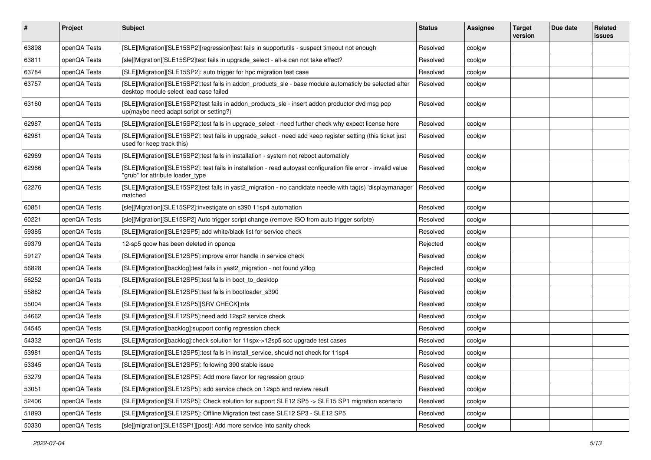| #     | Project      | <b>Subject</b>                                                                                                                                      | <b>Status</b> | <b>Assignee</b> | <b>Target</b><br>version | Due date | Related<br><b>issues</b> |
|-------|--------------|-----------------------------------------------------------------------------------------------------------------------------------------------------|---------------|-----------------|--------------------------|----------|--------------------------|
| 63898 | openQA Tests | [SLE][Migration][SLE15SP2][regression]test fails in supportutils - suspect timeout not enough                                                       | Resolved      | coolgw          |                          |          |                          |
| 63811 | openQA Tests | [sle][Migration][SLE15SP2]test fails in upgrade_select - alt-a can not take effect?                                                                 | Resolved      | coolgw          |                          |          |                          |
| 63784 | openQA Tests | [SLE][Migration][SLE15SP2]: auto trigger for hpc migration test case                                                                                | Resolved      | coolgw          |                          |          |                          |
| 63757 | openQA Tests | [SLE][Migration][SLE15SP2]:test fails in addon_products_sle - base module automaticly be selected after<br>desktop module select lead case failed   | Resolved      | coolgw          |                          |          |                          |
| 63160 | openQA Tests | [SLE][Migration][SLE15SP2]test fails in addon_products_sle - insert addon productor dvd msg pop<br>up(maybe need adapt script or setting?)          | Resolved      | coolgw          |                          |          |                          |
| 62987 | openQA Tests | [SLE][Migration][SLE15SP2]:test fails in upgrade_select - need further check why expect license here                                                | Resolved      | coolgw          |                          |          |                          |
| 62981 | openQA Tests | [SLE][Migration][SLE15SP2]: test fails in upgrade_select - need add keep register setting (this ticket just<br>used for keep track this)            | Resolved      | coolgw          |                          |          |                          |
| 62969 | openQA Tests | [SLE][Migration][SLE15SP2]:test fails in installation - system not reboot automaticly                                                               | Resolved      | coolgw          |                          |          |                          |
| 62966 | openQA Tests | [SLE][Migration][SLE15SP2]: test fails in installation - read autoyast configuration file error - invalid value<br>"grub" for attribute loader type | Resolved      | coolgw          |                          |          |                          |
| 62276 | openQA Tests | [SLE][Migration][SLE15SP2]test fails in yast2_migration - no candidate needle with tag(s) 'displaymanager'<br>matched                               | Resolved      | coolgw          |                          |          |                          |
| 60851 | openQA Tests | [sle][Migration][SLE15SP2]:investigate on s390 11sp4 automation                                                                                     | Resolved      | coolgw          |                          |          |                          |
| 60221 | openQA Tests | [sle][Migration][SLE15SP2] Auto trigger script change (remove ISO from auto trigger scripte)                                                        | Resolved      | coolgw          |                          |          |                          |
| 59385 | openQA Tests | [SLE][Migration][SLE12SP5] add white/black list for service check                                                                                   | Resolved      | coolgw          |                          |          |                          |
| 59379 | openQA Tests | 12-sp5 qcow has been deleted in openqa                                                                                                              | Rejected      | coolgw          |                          |          |                          |
| 59127 | openQA Tests | [SLE][Migration][SLE12SP5]:improve error handle in service check                                                                                    | Resolved      | coolgw          |                          |          |                          |
| 56828 | openQA Tests | [SLE][Migration][backlog]:test fails in yast2 migration - not found y2log                                                                           | Rejected      | coolgw          |                          |          |                          |
| 56252 | openQA Tests | [SLE][Migration][SLE12SP5]:test fails in boot_to_desktop                                                                                            | Resolved      | coolgw          |                          |          |                          |
| 55862 | openQA Tests | [SLE][Migration][SLE12SP5]:test fails in bootloader_s390                                                                                            | Resolved      | coolgw          |                          |          |                          |
| 55004 | openQA Tests | [SLE][Migration][SLE12SP5][SRV CHECK]:nfs                                                                                                           | Resolved      | coolgw          |                          |          |                          |
| 54662 | openQA Tests | [SLE][Migration][SLE12SP5]:need add 12sp2 service check                                                                                             | Resolved      | coolgw          |                          |          |                          |
| 54545 | openQA Tests | [SLE][Migration][backlog]:support config regression check                                                                                           | Resolved      | coolgw          |                          |          |                          |
| 54332 | openQA Tests | [SLE][Migration][backlog]:check solution for 11spx->12sp5 scc upgrade test cases                                                                    | Resolved      | coolgw          |                          |          |                          |
| 53981 | openQA Tests | [SLE][Migration][SLE12SP5]:test fails in install_service, should not check for 11sp4                                                                | Resolved      | coolgw          |                          |          |                          |
| 53345 | openQA Tests | [SLE][Migration][SLE12SP5]: following 390 stable issue                                                                                              | Resolved      | coolgw          |                          |          |                          |
| 53279 | openQA Tests | [SLE][Migration][SLE12SP5]: Add more flavor for regression group                                                                                    | Resolved      | coolgw          |                          |          |                          |
| 53051 | openQA Tests | [SLE][Migration][SLE12SP5]: add service check on 12sp5 and review result                                                                            | Resolved      | coolgw          |                          |          |                          |
| 52406 | openQA Tests | [SLE][Migration][SLE12SP5]: Check solution for support SLE12 SP5 -> SLE15 SP1 migration scenario                                                    | Resolved      | coolgw          |                          |          |                          |
| 51893 | openQA Tests | [SLE][Migration][SLE12SP5]: Offline Migration test case SLE12 SP3 - SLE12 SP5                                                                       | Resolved      | coolgw          |                          |          |                          |
| 50330 | openQA Tests | [sle][migration][SLE15SP1][post]: Add more service into sanity check                                                                                | Resolved      | coolgw          |                          |          |                          |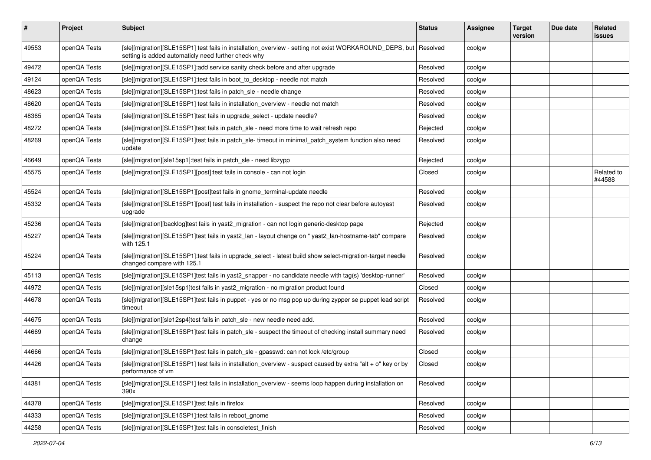| #     | Project      | Subject                                                                                                                                                        | <b>Status</b> | Assignee | <b>Target</b><br>version | Due date | Related<br>issues    |
|-------|--------------|----------------------------------------------------------------------------------------------------------------------------------------------------------------|---------------|----------|--------------------------|----------|----------------------|
| 49553 | openQA Tests | [sle][migration][SLE15SP1] test fails in installation_overview - setting not exist WORKAROUND_DEPS, but<br>setting is added automaticly need further check why | Resolved      | coolgw   |                          |          |                      |
| 49472 | openQA Tests | [sle][migration][SLE15SP1]:add service sanity check before and after upgrade                                                                                   | Resolved      | coolgw   |                          |          |                      |
| 49124 | openQA Tests | [sle][migration][SLE15SP1]:test fails in boot_to_desktop - needle not match                                                                                    | Resolved      | coolgw   |                          |          |                      |
| 48623 | openQA Tests | [sle][migration][SLE15SP1]:test fails in patch_sle - needle change                                                                                             | Resolved      | coolgw   |                          |          |                      |
| 48620 | openQA Tests | [sle][migration][SLE15SP1] test fails in installation_overview - needle not match                                                                              | Resolved      | coolgw   |                          |          |                      |
| 48365 | openQA Tests | [sle][migration][SLE15SP1]test fails in upgrade_select - update needle?                                                                                        | Resolved      | coolgw   |                          |          |                      |
| 48272 | openQA Tests | [sle][migration][SLE15SP1]test fails in patch_sle - need more time to wait refresh repo                                                                        | Rejected      | coolgw   |                          |          |                      |
| 48269 | openQA Tests | [sle][migration][SLE15SP1]test fails in patch_sle-timeout in minimal_patch_system function also need<br>update                                                 | Resolved      | coolgw   |                          |          |                      |
| 46649 | openQA Tests | [sle][migration][sle15sp1]:test fails in patch_sle - need libzypp                                                                                              | Rejected      | coolgw   |                          |          |                      |
| 45575 | openQA Tests | [sle][migration][SLE15SP1][post]:test fails in console - can not login                                                                                         | Closed        | coolgw   |                          |          | Related to<br>#44588 |
| 45524 | openQA Tests | [sle][migration][SLE15SP1][post]test fails in gnome_terminal-update needle                                                                                     | Resolved      | coolgw   |                          |          |                      |
| 45332 | openQA Tests | [sle][migration][SLE15SP1][post] test fails in installation - suspect the repo not clear before autoyast<br>upgrade                                            | Resolved      | coolgw   |                          |          |                      |
| 45236 | openQA Tests | [sle][migration][backlog]test fails in yast2_migration - can not login generic-desktop page                                                                    | Rejected      | coolgw   |                          |          |                      |
| 45227 | openQA Tests | [sle][migration][SLE15SP1]test fails in yast2_lan - layout change on " yast2_lan-hostname-tab" compare<br>with 125.1                                           | Resolved      | coolgw   |                          |          |                      |
| 45224 | openQA Tests | [sle][migration][SLE15SP1]:test fails in upgrade_select - latest build show select-migration-target needle<br>changed compare with 125.1                       | Resolved      | coolgw   |                          |          |                      |
| 45113 | openQA Tests | [sle][migration][SLE15SP1]test fails in yast2_snapper - no candidate needle with tag(s) 'desktop-runner'                                                       | Resolved      | coolgw   |                          |          |                      |
| 44972 | openQA Tests | [sle][migration][sle15sp1]test fails in yast2_migration - no migration product found                                                                           | Closed        | coolgw   |                          |          |                      |
| 44678 | openQA Tests | [sle][migration][SLE15SP1]test fails in puppet - yes or no msg pop up during zypper se puppet lead script<br>timeout                                           | Resolved      | coolgw   |                          |          |                      |
| 44675 | openQA Tests | [sle][migration][sle12sp4]test fails in patch sle - new needle need add.                                                                                       | Resolved      | coolgw   |                          |          |                      |
| 44669 | openQA Tests | [sle][migration][SLE15SP1]test fails in patch_sle - suspect the timeout of checking install summary need<br>change                                             | Resolved      | coolgw   |                          |          |                      |
| 44666 | openQA Tests | [sle][migration][SLE15SP1]test fails in patch sle - gpasswd: can not lock /etc/group                                                                           | Closed        | coolgw   |                          |          |                      |
| 44426 | openQA Tests | [sle][migration][SLE15SP1] test fails in installation_overview - suspect caused by extra "alt + o" key or by<br>performance of vm                              | Closed        | coolgw   |                          |          |                      |
| 44381 | openQA Tests | [sle][migration][SLE15SP1] test fails in installation_overview - seems loop happen during installation on<br>390x                                              | Resolved      | coolgw   |                          |          |                      |
| 44378 | openQA Tests | [sle][migration][SLE15SP1]test fails in firefox                                                                                                                | Resolved      | coolgw   |                          |          |                      |
| 44333 | openQA Tests | [sle][migration][SLE15SP1]:test fails in reboot_gnome                                                                                                          | Resolved      | coolgw   |                          |          |                      |
| 44258 | openQA Tests | [sle][migration][SLE15SP1]test fails in consoletest_finish                                                                                                     | Resolved      | coolgw   |                          |          |                      |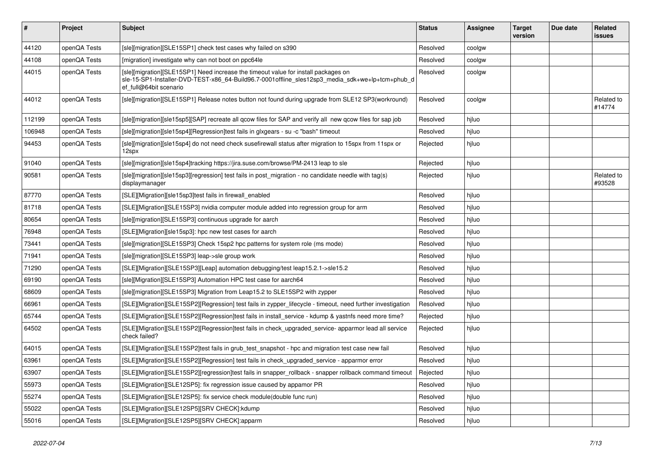| $\vert$ # | <b>Project</b> | <b>Subject</b>                                                                                                                                                                                                  | <b>Status</b> | Assignee | <b>Target</b><br>version | Due date | Related<br>issues    |
|-----------|----------------|-----------------------------------------------------------------------------------------------------------------------------------------------------------------------------------------------------------------|---------------|----------|--------------------------|----------|----------------------|
| 44120     | openQA Tests   | [sle][migration][SLE15SP1] check test cases why failed on s390                                                                                                                                                  | Resolved      | coolgw   |                          |          |                      |
| 44108     | openQA Tests   | [migration] investigate why can not boot on ppc64le                                                                                                                                                             | Resolved      | coolgw   |                          |          |                      |
| 44015     | openQA Tests   | [sle][migration][SLE15SP1] Need increase the timeout value for install packages on<br>sle-15-SP1-Installer-DVD-TEST-x86_64-Build96.7-0001offline_sles12sp3_media_sdk+we+lp+tcm+phub_d<br>ef full@64bit scenario | Resolved      | coolgw   |                          |          |                      |
| 44012     | openQA Tests   | [sle][migration][SLE15SP1] Release notes button not found during upgrade from SLE12 SP3(workround)                                                                                                              | Resolved      | coolgw   |                          |          | Related to<br>#14774 |
| 112199    | openQA Tests   | [sle][migration][sle15sp5][SAP] recreate all qcow files for SAP and verify all new qcow files for sap job                                                                                                       | Resolved      | hiluo    |                          |          |                      |
| 106948    | openQA Tests   | [sle][migration][sle15sp4][Regression]test fails in glxgears - su -c "bash" timeout                                                                                                                             | Resolved      | hjluo    |                          |          |                      |
| 94453     | openQA Tests   | [sle][migration][sle15sp4] do not need check susefirewall status after migration to 15spx from 11spx or<br>12spx                                                                                                | Rejected      | hjluo    |                          |          |                      |
| 91040     | openQA Tests   | [sle][migration][sle15sp4]tracking https://jira.suse.com/browse/PM-2413 leap to sle                                                                                                                             | Rejected      | hjluo    |                          |          |                      |
| 90581     | openQA Tests   | $[s]$ e][migration][sle15sp3][regression] test fails in post migration - no candidate needle with tag(s)<br>displaymanager                                                                                      | Rejected      | hjluo    |                          |          | Related to<br>#93528 |
| 87770     | openQA Tests   | [SLE][Migration][sle15sp3]test fails in firewall enabled                                                                                                                                                        | Resolved      | hjluo    |                          |          |                      |
| 81718     | openQA Tests   | [SLE][Migration][SLE15SP3] nvidia computer module added into regression group for arm                                                                                                                           | Resolved      | hjluo    |                          |          |                      |
| 80654     | openQA Tests   | [sle][migration][SLE15SP3] continuous upgrade for aarch                                                                                                                                                         | Resolved      | hjluo    |                          |          |                      |
| 76948     | openQA Tests   | [SLE][Migration][sle15sp3]: hpc new test cases for aarch                                                                                                                                                        | Resolved      | hjluo    |                          |          |                      |
| 73441     | openQA Tests   | [sle][migration][SLE15SP3] Check 15sp2 hpc patterns for system role (ms mode)                                                                                                                                   | Resolved      | hjluo    |                          |          |                      |
| 71941     | openQA Tests   | [sle][migration][SLE15SP3] leap->sle group work                                                                                                                                                                 | Resolved      | hjluo    |                          |          |                      |
| 71290     | openQA Tests   | [SLE][Migration][SLE15SP3][Leap] automation debugging/test leap15.2.1->sle15.2                                                                                                                                  | Resolved      | hjluo    |                          |          |                      |
| 69190     | openQA Tests   | [sle][Migration][SLE15SP3] Automation HPC test case for aarch64                                                                                                                                                 | Resolved      | hjluo    |                          |          |                      |
| 68609     | openQA Tests   | [sle][migration][SLE15SP3] Migration from Leap15.2 to SLE15SP2 with zypper                                                                                                                                      | Resolved      | hjluo    |                          |          |                      |
| 66961     | openQA Tests   | [SLE][Migration][SLE15SP2][Regression] test fails in zypper_lifecycle - timeout, need further investigation                                                                                                     | Resolved      | hjluo    |                          |          |                      |
| 65744     | openQA Tests   | [SLE][Migration][SLE15SP2][Regression]test fails in install_service - kdump & yastnfs need more time?                                                                                                           | Rejected      | hjluo    |                          |          |                      |
| 64502     | openQA Tests   | [SLE][Migration][SLE15SP2][Regression]test fails in check_upgraded_service- apparmor lead all service<br>check failed?                                                                                          | Rejected      | hjluo    |                          |          |                      |
| 64015     | openQA Tests   | [SLE][Migration][SLE15SP2]test fails in grub test snapshot - hpc and migration test case new fail                                                                                                               | Resolved      | hjluo    |                          |          |                      |
| 63961     | openQA Tests   | [SLE][Migration][SLE15SP2][Regression] test fails in check upgraded service - apparmor error                                                                                                                    | Resolved      | hjluo    |                          |          |                      |
| 63907     | openQA Tests   | [SLE][Migration][SLE15SP2][regression]test fails in snapper rollback - snapper rollback command timeout                                                                                                         | Rejected      | hjluo    |                          |          |                      |
| 55973     | openQA Tests   | [SLE][Migration][SLE12SP5]: fix regression issue caused by appamor PR                                                                                                                                           | Resolved      | hjluo    |                          |          |                      |
| 55274     | openQA Tests   | [SLE][Migration][SLE12SP5]: fix service check module(double func run)                                                                                                                                           | Resolved      | hjluo    |                          |          |                      |
| 55022     | openQA Tests   | [SLE][Migration][SLE12SP5][SRV CHECK]:kdump                                                                                                                                                                     | Resolved      | hjluo    |                          |          |                      |
| 55016     | openQA Tests   | [SLE][Migration][SLE12SP5][SRV CHECK]:apparm                                                                                                                                                                    | Resolved      | hjluo    |                          |          |                      |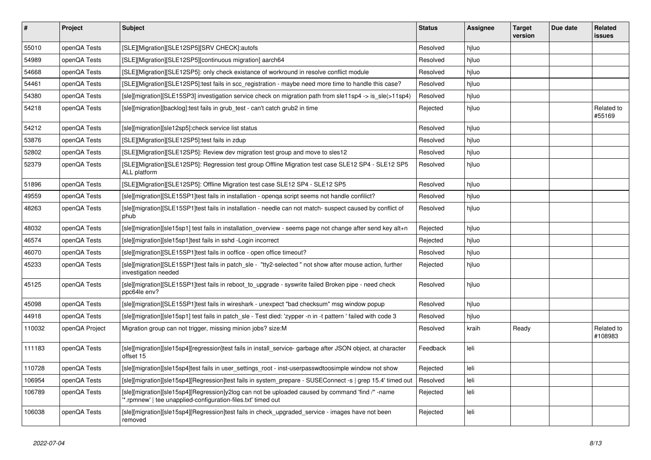| $\vert$ # | Project        | <b>Subject</b>                                                                                                                                                   | <b>Status</b> | Assignee | <b>Target</b><br>version | Due date | Related<br>issues     |
|-----------|----------------|------------------------------------------------------------------------------------------------------------------------------------------------------------------|---------------|----------|--------------------------|----------|-----------------------|
| 55010     | openQA Tests   | [SLE][Migration][SLE12SP5][SRV CHECK]:autofs                                                                                                                     | Resolved      | hjluo    |                          |          |                       |
| 54989     | openQA Tests   | [SLE][Migration][SLE12SP5][continuous migration] aarch64                                                                                                         | Resolved      | hjluo    |                          |          |                       |
| 54668     | openQA Tests   | [SLE][Migration][SLE12SP5]: only check existance of workround in resolve conflict module                                                                         | Resolved      | hjluo    |                          |          |                       |
| 54461     | openQA Tests   | [SLE][Migration][SLE12SP5]:test fails in scc_registration - maybe need more time to handle this case?                                                            | Resolved      | hjluo    |                          |          |                       |
| 54380     | openQA Tests   | [sle][migration][SLE15SP3] investigation service check on migration path from sle11sp4 -> is_sle(>11sp4)                                                         | Resolved      | hjluo    |                          |          |                       |
| 54218     | openQA Tests   | [sle][migration][backlog]:test fails in grub test - can't catch grub2 in time                                                                                    | Rejected      | hjluo    |                          |          | Related to<br>#55169  |
| 54212     | openQA Tests   | [sle][migration][sle12sp5]:check service list status                                                                                                             | Resolved      | hjluo    |                          |          |                       |
| 53876     | openQA Tests   | [SLE][Migration][SLE12SP5]:test fails in zdup                                                                                                                    | Resolved      | hjluo    |                          |          |                       |
| 52802     | openQA Tests   | [SLE][Migration][SLE12SP5]: Review dev migration test group and move to sles12                                                                                   | Resolved      | hjluo    |                          |          |                       |
| 52379     | openQA Tests   | [SLE][Migration][SLE12SP5]: Regression test group Offline Migration test case SLE12 SP4 - SLE12 SP5<br>ALL platform                                              | Resolved      | hjluo    |                          |          |                       |
| 51896     | openQA Tests   | [SLE][Migration][SLE12SP5]: Offline Migration test case SLE12 SP4 - SLE12 SP5                                                                                    | Resolved      | hjluo    |                          |          |                       |
| 49559     | openQA Tests   | [sle][migration][SLE15SP1]test fails in installation - openqa script seems not handle confilict?                                                                 | Resolved      | hjluo    |                          |          |                       |
| 48263     | openQA Tests   | [sle][migration][SLE15SP1]test fails in installation - needle can not match- suspect caused by conflict of<br>phub                                               | Resolved      | hjluo    |                          |          |                       |
| 48032     | openQA Tests   | [sle][migration][sle15sp1] test fails in installation overview - seems page not change after send key alt+n                                                      | Rejected      | hjluo    |                          |          |                       |
| 46574     | openQA Tests   | [sle][migration][sle15sp1]test fails in sshd -Login incorrect                                                                                                    | Rejected      | hjluo    |                          |          |                       |
| 46070     | openQA Tests   | [sle][migration][SLE15SP1]test fails in ooffice - open office timeout?                                                                                           | Resolved      | hjluo    |                          |          |                       |
| 45233     | openQA Tests   | [sle][migration][SLE15SP1]test fails in patch_sle - "tty2-selected " not show after mouse action, further<br>investigation needed                                | Rejected      | hjluo    |                          |          |                       |
| 45125     | openQA Tests   | [sle][migration][SLE15SP1]test fails in reboot to upgrade - syswrite failed Broken pipe - need check<br>ppc64le env?                                             | Resolved      | hjluo    |                          |          |                       |
| 45098     | openQA Tests   | [sle][migration][SLE15SP1]test fails in wireshark - unexpect "bad checksum" msg window popup                                                                     | Resolved      | hjluo    |                          |          |                       |
| 44918     | openQA Tests   | [sle][migration][sle15sp1] test fails in patch_sle - Test died: 'zypper -n in -t pattern ' failed with code 3                                                    | Resolved      | hjluo    |                          |          |                       |
| 110032    | openQA Project | Migration group can not trigger, missing minion jobs? size:M                                                                                                     | Resolved      | kraih    | Ready                    |          | Related to<br>#108983 |
| 111183    | openQA Tests   | [sle][migration][sle15sp4][regression]test fails in install service-garbage after JSON object, at character<br>offset 15                                         | Feedback      | leli     |                          |          |                       |
| 110728    | openQA Tests   | [sle][migration][sle15sp4]test fails in user settings root - inst-userpasswdtoosimple window not show                                                            | Rejected      | leli     |                          |          |                       |
| 106954    | openQA Tests   | [sle][migration][sle15sp4][Regression]test fails in system_prepare - SUSEConnect -s   grep 15.4' timed out                                                       | Resolved      | leli     |                          |          |                       |
| 106789    | openQA Tests   | [sle][migration][sle15sp4][Regression]y2log can not be uploaded caused by command 'find /* -name<br>*.rpmnew'   tee unapplied-configuration-files.txt' timed out | Rejected      | leli     |                          |          |                       |
| 106038    | openQA Tests   | [sle][migration][sle15sp4][Regression]test fails in check_upgraded_service - images have not been<br>removed                                                     | Rejected      | leli     |                          |          |                       |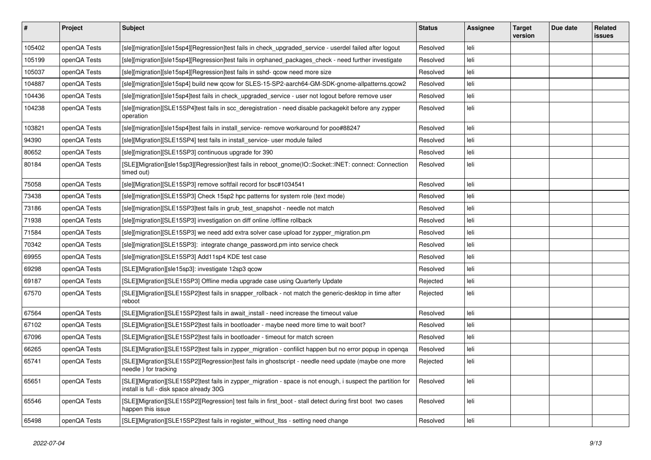| $\sharp$ | Project      | <b>Subject</b>                                                                                                                                          | <b>Status</b> | <b>Assignee</b> | <b>Target</b><br>version | Due date | Related<br><b>issues</b> |
|----------|--------------|---------------------------------------------------------------------------------------------------------------------------------------------------------|---------------|-----------------|--------------------------|----------|--------------------------|
| 105402   | openQA Tests | [sle][migration][sle15sp4][Regression]test fails in check_upgraded_service - userdel failed after logout                                                | Resolved      | leli            |                          |          |                          |
| 105199   | openQA Tests | [sle][migration][sle15sp4][Regression]test fails in orphaned_packages_check - need further investigate                                                  | Resolved      | leli            |                          |          |                          |
| 105037   | openQA Tests | [sle][migration][sle15sp4][Regression]test fails in sshd- qcow need more size                                                                           | Resolved      | leli            |                          |          |                          |
| 104887   | openQA Tests | [sle][migration][sle15sp4] build new qcow for SLES-15-SP2-aarch64-GM-SDK-gnome-allpatterns.qcow2                                                        | Resolved      | leli            |                          |          |                          |
| 104436   | openQA Tests | [sle][migration][sle15sp4]test fails in check_upgraded_service - user not logout before remove user                                                     | Resolved      | leli            |                          |          |                          |
| 104238   | openQA Tests | [sle][migration][SLE15SP4]test fails in scc_deregistration - need disable packagekit before any zypper<br>operation                                     | Resolved      | leli            |                          |          |                          |
| 103821   | openQA Tests | [sle][migration][sle15sp4]test fails in install_service-remove workaround for poo#88247                                                                 | Resolved      | leli            |                          |          |                          |
| 94390    | openQA Tests | [sle][Migration][SLE15SP4] test fails in install_service- user module failed                                                                            | Resolved      | leli            |                          |          |                          |
| 80652    | openQA Tests | [sle][migration][SLE15SP3] continuous upgrade for 390                                                                                                   | Resolved      | leli            |                          |          |                          |
| 80184    | openQA Tests | [SLE][Migration][sle15sp3][Regression]test fails in reboot_gnome(IO::Socket::INET: connect: Connection<br>timed out)                                    | Resolved      | leli            |                          |          |                          |
| 75058    | openQA Tests | [sle][Migration][SLE15SP3] remove softfail record for bsc#1034541                                                                                       | Resolved      | leli            |                          |          |                          |
| 73438    | openQA Tests | [sle][migration][SLE15SP3] Check 15sp2 hpc patterns for system role (text mode)                                                                         | Resolved      | leli            |                          |          |                          |
| 73186    | openQA Tests | [sle][migration][SLE15SP3]test fails in grub_test_snapshot - needle not match                                                                           | Resolved      | leli            |                          |          |                          |
| 71938    | openQA Tests | [sle][migration][SLE15SP3] investigation on diff online /offline rollback                                                                               | Resolved      | leli            |                          |          |                          |
| 71584    | openQA Tests | [sle][migration][SLE15SP3] we need add extra solver case upload for zypper_migration.pm                                                                 | Resolved      | leli            |                          |          |                          |
| 70342    | openQA Tests | [sle][migration][SLE15SP3]: integrate change_password.pm into service check                                                                             | Resolved      | leli            |                          |          |                          |
| 69955    | openQA Tests | [sle][migration][SLE15SP3] Add11sp4 KDE test case                                                                                                       | Resolved      | leli            |                          |          |                          |
| 69298    | openQA Tests | [SLE][Migration][sle15sp3]: investigate 12sp3 qcow                                                                                                      | Resolved      | leli            |                          |          |                          |
| 69187    | openQA Tests | [SLE][Migration][SLE15SP3] Offline media upgrade case using Quarterly Update                                                                            | Rejected      | leli            |                          |          |                          |
| 67570    | openQA Tests | [SLE][Migration][SLE15SP2]test fails in snapper_rollback - not match the generic-desktop in time after<br>reboot                                        | Rejected      | leli            |                          |          |                          |
| 67564    | openQA Tests | [SLE][Migration][SLE15SP2]test fails in await_install - need increase the timeout value                                                                 | Resolved      | leli            |                          |          |                          |
| 67102    | openQA Tests | [SLE][Migration][SLE15SP2]test fails in bootloader - maybe need more time to wait boot?                                                                 | Resolved      | leli            |                          |          |                          |
| 67096    | openQA Tests | [SLE][Migration][SLE15SP2]test fails in bootloader - timeout for match screen                                                                           | Resolved      | leli            |                          |          |                          |
| 66265    | openQA Tests | [SLE][Migration][SLE15SP2]test fails in zypper_migration - confilict happen but no error popup in openqa                                                | Resolved      | leli            |                          |          |                          |
| 65741    | openQA Tests | [SLE][Migration][SLE15SP2][Regression]test fails in ghostscript - needle need update (maybe one more<br>needle) for tracking                            | Rejected      | leli            |                          |          |                          |
| 65651    | openQA Tests | [SLE][Migration][SLE15SP2]test fails in zypper_migration - space is not enough, i suspect the partition for<br>install is full - disk space already 30G | Resolved      | leli            |                          |          |                          |
| 65546    | openQA Tests | [SLE][Migration][SLE15SP2][Regression] test fails in first_boot - stall detect during first boot two cases<br>happen this issue                         | Resolved      | leli            |                          |          |                          |
| 65498    | openQA Tests | [SLE][Migration][SLE15SP2]test fails in register without Itss - setting need change                                                                     | Resolved      | leli            |                          |          |                          |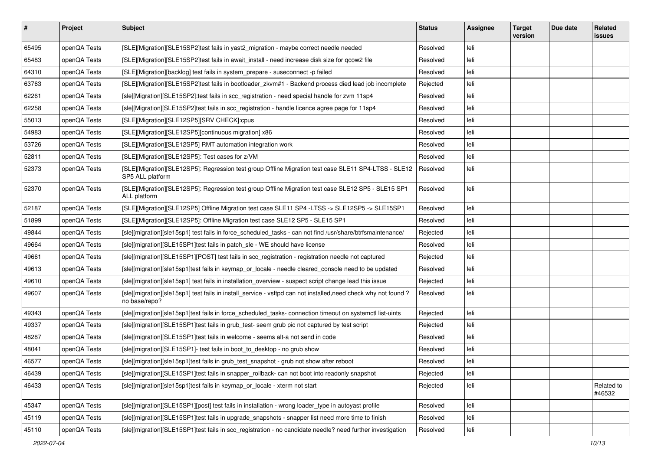| $\sharp$ | Project      | <b>Subject</b>                                                                                                                 | <b>Status</b> | <b>Assignee</b> | <b>Target</b><br>version | Due date | Related<br><b>issues</b> |
|----------|--------------|--------------------------------------------------------------------------------------------------------------------------------|---------------|-----------------|--------------------------|----------|--------------------------|
| 65495    | openQA Tests | [SLE][Migration][SLE15SP2]test fails in yast2_migration - maybe correct needle needed                                          | Resolved      | leli            |                          |          |                          |
| 65483    | openQA Tests | [SLE][Migration][SLE15SP2]test fails in await_install - need increase disk size for qcow2 file                                 | Resolved      | leli            |                          |          |                          |
| 64310    | openQA Tests | [SLE][Migration][backlog] test fails in system prepare - suseconnect -p failed                                                 | Resolved      | leli            |                          |          |                          |
| 63763    | openQA Tests | [SLE][Migration][SLE15SP2]test fails in bootloader_zkvm#1 - Backend process died lead job incomplete                           | Rejected      | leli            |                          |          |                          |
| 62261    | openQA Tests | [sle][Migration][SLE15SP2]:test fails in scc_registration - need special handle for zvm 11sp4                                  | Resolved      | leli            |                          |          |                          |
| 62258    | openQA Tests | [sle][Migration][SLE15SP2]test fails in scc_registration - handle licence agree page for 11sp4                                 | Resolved      | leli            |                          |          |                          |
| 55013    | openQA Tests | [SLE][Migration][SLE12SP5][SRV CHECK]:cpus                                                                                     | Resolved      | leli            |                          |          |                          |
| 54983    | openQA Tests | [SLE][Migration][SLE12SP5][continuous migration] x86                                                                           | Resolved      | leli            |                          |          |                          |
| 53726    | openQA Tests | [SLE][Migration][SLE12SP5] RMT automation integration work                                                                     | Resolved      | leli            |                          |          |                          |
| 52811    | openQA Tests | [SLE][Migration][SLE12SP5]: Test cases for z/VM                                                                                | Resolved      | leli            |                          |          |                          |
| 52373    | openQA Tests | [SLE][Migration][SLE12SP5]: Regression test group Offline Migration test case SLE11 SP4-LTSS - SLE12<br>SP5 ALL platform       | Resolved      | leli            |                          |          |                          |
| 52370    | openQA Tests | [SLE][Migration][SLE12SP5]: Regression test group Offline Migration test case SLE12 SP5 - SLE15 SP1<br>ALL platform            | Resolved      | leli            |                          |          |                          |
| 52187    | openQA Tests | [SLE][Migration][SLE12SP5] Offline Migration test case SLE11 SP4 -LTSS -> SLE12SP5 -> SLE15SP1                                 | Resolved      | leli            |                          |          |                          |
| 51899    | openQA Tests | [SLE][Migration][SLE12SP5]: Offline Migration test case SLE12 SP5 - SLE15 SP1                                                  | Resolved      | leli            |                          |          |                          |
| 49844    | openQA Tests | [sle][migration][sle15sp1] test fails in force_scheduled_tasks - can not find /usr/share/btrfsmaintenance/                     | Rejected      | leli            |                          |          |                          |
| 49664    | openQA Tests | [sle][migration][SLE15SP1]test fails in patch sle - WE should have license                                                     | Resolved      | leli            |                          |          |                          |
| 49661    | openQA Tests | [sle][migration][SLE15SP1][POST] test fails in scc_registration - registration needle not captured                             | Rejected      | leli            |                          |          |                          |
| 49613    | openQA Tests | [sle][migration][sle15sp1]test fails in keymap_or_locale - needle cleared_console need to be updated                           | Resolved      | leli            |                          |          |                          |
| 49610    | openQA Tests | [sle][migration][sle15sp1] test fails in installation_overview - suspect script change lead this issue                         | Rejected      | leli            |                          |          |                          |
| 49607    | openQA Tests | [sle][migration][sle15sp1] test fails in install_service - vsftpd can not installed,need check why not found?<br>no base/repo? | Resolved      | leli            |                          |          |                          |
| 49343    | openQA Tests | [sle][migration][sle15sp1]test fails in force_scheduled_tasks- connection timeout on systemctl list-uints                      | Rejected      | leli            |                          |          |                          |
| 49337    | openQA Tests | [sle][migration][SLE15SP1]test fails in grub_test- seem grub pic not captured by test script                                   | Rejected      | leli            |                          |          |                          |
| 48287    | openQA Tests | [sle][migration][SLE15SP1]test fails in welcome - seems alt-a not send in code                                                 | Resolved      | leli            |                          |          |                          |
| 48041    | openQA Tests | [sle][migration][SLE15SP1]- test fails in boot_to_desktop - no grub show                                                       | Resolved      | leli            |                          |          |                          |
| 46577    | openQA Tests | [sle][migration][sle15sp1]test fails in grub test snapshot - grub not show after reboot                                        | Resolved      | leli            |                          |          |                          |
| 46439    | openQA Tests | [sle][migration][SLE15SP1]test fails in snapper_rollback- can not boot into readonly snapshot                                  | Rejected      | leli            |                          |          |                          |
| 46433    | openQA Tests | [sle][migration][sle15sp1]test fails in keymap_or_locale - xterm not start                                                     | Rejected      | leli            |                          |          | Related to<br>#46532     |
| 45347    | openQA Tests | [sle][migration][SLE15SP1][post] test fails in installation - wrong loader_type in autoyast profile                            | Resolved      | leli            |                          |          |                          |
| 45119    | openQA Tests | [sle][migration][SLE15SP1]test fails in upgrade_snapshots - snapper list need more time to finish                              | Resolved      | leli            |                          |          |                          |
| 45110    | openQA Tests | [sle][migration][SLE15SP1]test fails in scc_registration - no candidate needle? need further investigation                     | Resolved      | leli            |                          |          |                          |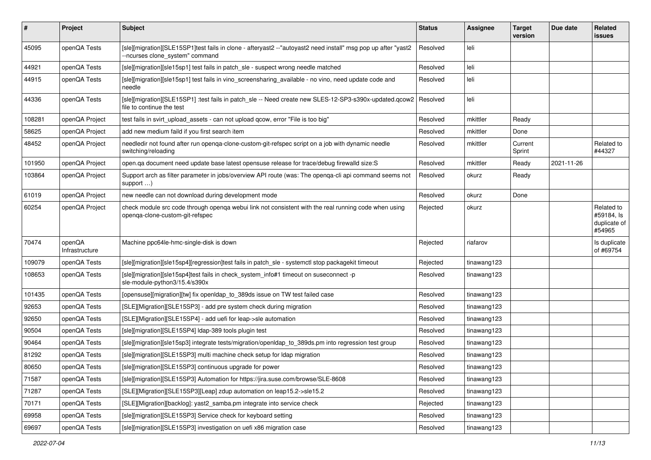| #      | Project                  | <b>Subject</b>                                                                                                                                   | <b>Status</b> | <b>Assignee</b> | <b>Target</b><br>version | Due date   | Related<br>issues                                  |
|--------|--------------------------|--------------------------------------------------------------------------------------------------------------------------------------------------|---------------|-----------------|--------------------------|------------|----------------------------------------------------|
| 45095  | openQA Tests             | [sle][migration][SLE15SP1]test fails in clone - afteryast2 --"autoyast2 need install" msg pop up after "yast2<br>--ncurses clone system" command | Resolved      | leli            |                          |            |                                                    |
| 44921  | openQA Tests             | [sle][migration][sle15sp1] test fails in patch_sle - suspect wrong needle matched                                                                | Resolved      | leli            |                          |            |                                                    |
| 44915  | openQA Tests             | [sle][migration][sle15sp1] test fails in vino_screensharing_available - no vino, need update code and<br>needle                                  | Resolved      | leli            |                          |            |                                                    |
| 44336  | openQA Tests             | [sle][migration][SLE15SP1] :test fails in patch_sle -- Need create new SLES-12-SP3-s390x-updated.qcow2   Resolved<br>file to continue the test   |               | leli            |                          |            |                                                    |
| 108281 | openQA Project           | test fails in svirt_upload_assets - can not upload qcow, error "File is too big"                                                                 | Resolved      | mkittler        | Ready                    |            |                                                    |
| 58625  | openQA Project           | add new medium faild if you first search item                                                                                                    | Resolved      | mkittler        | Done                     |            |                                                    |
| 48452  | openQA Project           | needledir not found after run openqa-clone-custom-git-refspec script on a job with dynamic needle<br>switching/reloading                         | Resolved      | mkittler        | Current<br>Sprint        |            | Related to<br>#44327                               |
| 101950 | openQA Project           | open.qa document need update base latest opensuse release for trace/debug firewalld size:S                                                       | Resolved      | mkittler        | Ready                    | 2021-11-26 |                                                    |
| 103864 | openQA Project           | Support arch as filter parameter in jobs/overview API route (was: The openga-cli api command seems not<br>support $\ldots$ )                     | Resolved      | okurz           | Ready                    |            |                                                    |
| 61019  | openQA Project           | new needle can not download during development mode                                                                                              | Resolved      | okurz           | Done                     |            |                                                    |
| 60254  | openQA Project           | check module src code through openga webui link not consistent with the real running code when using<br>openqa-clone-custom-git-refspec          | Rejected      | okurz           |                          |            | Related to<br>#59184, Is<br>duplicate of<br>#54965 |
| 70474  | openQA<br>Infrastructure | Machine ppc64le-hmc-single-disk is down                                                                                                          | Rejected      | riafarov        |                          |            | Is duplicate<br>of #69754                          |
| 109079 | openQA Tests             | [sle][migration][sle15sp4][regression]test fails in patch_sle - systemctl stop packagekit timeout                                                | Rejected      | tinawang123     |                          |            |                                                    |
| 108653 | openQA Tests             | [sle][migration][sle15sp4]test fails in check_system_info#1 timeout on suseconnect -p<br>sle-module-python3/15.4/s390x                           | Resolved      | tinawang123     |                          |            |                                                    |
| 101435 | openQA Tests             | [opensuse][migration][tw] fix openIdap_to_389ds issue on TW test failed case                                                                     | Resolved      | tinawang123     |                          |            |                                                    |
| 92653  | openQA Tests             | [SLE][Migration][SLE15SP3] - add pre system check during migration                                                                               | Resolved      | tinawang123     |                          |            |                                                    |
| 92650  | openQA Tests             | [SLE][Migration][SLE15SP4] - add uefi for leap->sle automation                                                                                   | Resolved      | tinawang123     |                          |            |                                                    |
| 90504  | openQA Tests             | [sle][migration][SLE15SP4] Idap-389 tools plugin test                                                                                            | Resolved      | tinawang123     |                          |            |                                                    |
| 90464  | openQA Tests             | [sle][migration][sle15sp3] integrate tests/migration/openldap_to_389ds.pm into regression test group                                             | Resolved      | tinawang123     |                          |            |                                                    |
| 81292  | openQA Tests             | [sle][migration][SLE15SP3] multi machine check setup for Idap migration                                                                          | Resolved      | tinawang123     |                          |            |                                                    |
| 80650  | openQA Tests             | [sle][migration][SLE15SP3] continuous upgrade for power                                                                                          | Resolved      | tinawang123     |                          |            |                                                    |
| 71587  | openQA Tests             | [sle][migration][SLE15SP3] Automation for https://jira.suse.com/browse/SLE-8608                                                                  | Resolved      | tinawang123     |                          |            |                                                    |
| 71287  | openQA Tests             | [SLE][Migration][SLE15SP3][Leap] zdup automation on leap15.2->sle15.2                                                                            | Resolved      | tinawang123     |                          |            |                                                    |
| 70171  | openQA Tests             | [SLE][Migration][backlog]: yast2_samba.pm integrate into service check                                                                           | Rejected      | tinawang123     |                          |            |                                                    |
| 69958  | openQA Tests             | [sle][migration][SLE15SP3] Service check for keyboard setting                                                                                    | Resolved      | tinawang123     |                          |            |                                                    |
| 69697  | openQA Tests             | [sle][migration][SLE15SP3] investigation on uefi x86 migration case                                                                              | Resolved      | tinawang123     |                          |            |                                                    |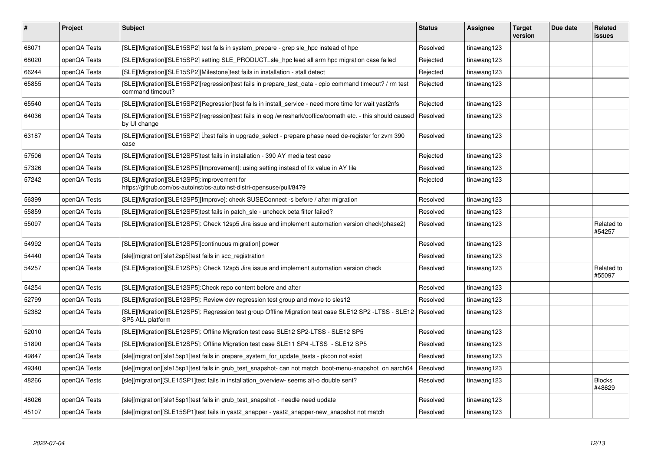| #     | Project      | <b>Subject</b>                                                                                                              | <b>Status</b> | <b>Assignee</b> | <b>Target</b><br>version | Due date | <b>Related</b><br><b>issues</b> |
|-------|--------------|-----------------------------------------------------------------------------------------------------------------------------|---------------|-----------------|--------------------------|----------|---------------------------------|
| 68071 | openQA Tests | [SLE][Migration][SLE15SP2] test fails in system_prepare - grep sle_hpc instead of hpc                                       | Resolved      | tinawang123     |                          |          |                                 |
| 68020 | openQA Tests | [SLE][Migration][SLE15SP2] setting SLE_PRODUCT=sle_hpc lead all arm hpc migration case failed                               | Rejected      | tinawang123     |                          |          |                                 |
| 66244 | openQA Tests | [SLE][Migration][SLE15SP2][Milestone]test fails in installation - stall detect                                              | Rejected      | tinawang123     |                          |          |                                 |
| 65855 | openQA Tests | [SLE][Migration][SLE15SP2][regression]test fails in prepare_test_data - cpio command timeout? / rm test<br>command timeout? | Rejected      | tinawang123     |                          |          |                                 |
| 65540 | openQA Tests | [SLE][Migration][SLE15SP2][Regression]test fails in install_service - need more time for wait yast2nfs                      | Rejected      | tinawang123     |                          |          |                                 |
| 64036 | openQA Tests | [SLE][Migration][SLE15SP2][regression]test fails in eog /wireshark/ooffice/oomath etc. - this should caused<br>by UI change | Resolved      | tinawang123     |                          |          |                                 |
| 63187 | openQA Tests | [SLE][Migration][SLE15SP2] Iltest fails in upgrade_select - prepare phase need de-register for zvm 390<br>case              | Resolved      | tinawang123     |                          |          |                                 |
| 57506 | openQA Tests | [SLE][Migration][SLE12SP5]test fails in installation - 390 AY media test case                                               | Rejected      | tinawang123     |                          |          |                                 |
| 57326 | openQA Tests | [SLE][Migration][SLE12SP5][Improvement]: using setting instead of fix value in AY file                                      | Resolved      | tinawang123     |                          |          |                                 |
| 57242 | openQA Tests | [SLE][Migration][SLE12SP5]:improvement for<br>https://github.com/os-autoinst/os-autoinst-distri-opensuse/pull/8479          | Rejected      | tinawang123     |                          |          |                                 |
| 56399 | openQA Tests | [SLE][Migration][SLE12SP5][Improve]: check SUSEConnect -s before / after migration                                          | Resolved      | tinawang123     |                          |          |                                 |
| 55859 | openQA Tests | [SLE][Migration][SLE12SP5]test fails in patch sle - uncheck beta filter failed?                                             | Resolved      | tinawang123     |                          |          |                                 |
| 55097 | openQA Tests | [SLE][Migration][SLE12SP5]: Check 12sp5 Jira issue and implement automation version check(phase2)                           | Resolved      | tinawang123     |                          |          | Related to<br>#54257            |
| 54992 | openQA Tests | [SLE][Migration][SLE12SP5][continuous migration] power                                                                      | Resolved      | tinawang123     |                          |          |                                 |
| 54440 | openQA Tests | [sle][migration][sle12sp5]test fails in scc_registration                                                                    | Resolved      | tinawang123     |                          |          |                                 |
| 54257 | openQA Tests | [SLE][Migration][SLE12SP5]: Check 12sp5 Jira issue and implement automation version check                                   | Resolved      | tinawang123     |                          |          | Related to<br>#55097            |
| 54254 | openQA Tests | [SLE][Migration][SLE12SP5]:Check repo content before and after                                                              | Resolved      | tinawang123     |                          |          |                                 |
| 52799 | openQA Tests | [SLE][Migration][SLE12SP5]: Review dev regression test group and move to sles12                                             | Resolved      | tinawang123     |                          |          |                                 |
| 52382 | openQA Tests | [SLE][Migration][SLE12SP5]: Regression test group Offline Migration test case SLE12 SP2 -LTSS - SLE12<br>SP5 ALL platform   | Resolved      | tinawang123     |                          |          |                                 |
| 52010 | openQA Tests | [SLE][Migration][SLE12SP5]: Offline Migration test case SLE12 SP2-LTSS - SLE12 SP5                                          | Resolved      | tinawang123     |                          |          |                                 |
| 51890 | openQA Tests | [SLE][Migration][SLE12SP5]: Offline Migration test case SLE11 SP4 -LTSS - SLE12 SP5                                         | Resolved      | tinawang123     |                          |          |                                 |
| 49847 | openQA Tests | [sle][migration][sle15sp1]test fails in prepare_system_for_update_tests - pkcon not exist                                   | Resolved      | tinawang123     |                          |          |                                 |
| 49340 | openQA Tests | [sle][migration][sle15sp1]test fails in grub_test_snapshot- can not match boot-menu-snapshot on aarch64                     | Resolved      | tinawang123     |                          |          |                                 |
| 48266 | openQA Tests | [sle][migration][SLE15SP1]test fails in installation overview- seems alt-o double sent?                                     | Resolved      | tinawang123     |                          |          | <b>Blocks</b><br>#48629         |
| 48026 | openQA Tests | [sle][migration][sle15sp1]test fails in grub_test_snapshot - needle need update                                             | Resolved      | tinawang123     |                          |          |                                 |
| 45107 | openQA Tests | [sle][migration][SLE15SP1]test fails in yast2 snapper - yast2 snapper-new snapshot not match                                | Resolved      | tinawang123     |                          |          |                                 |